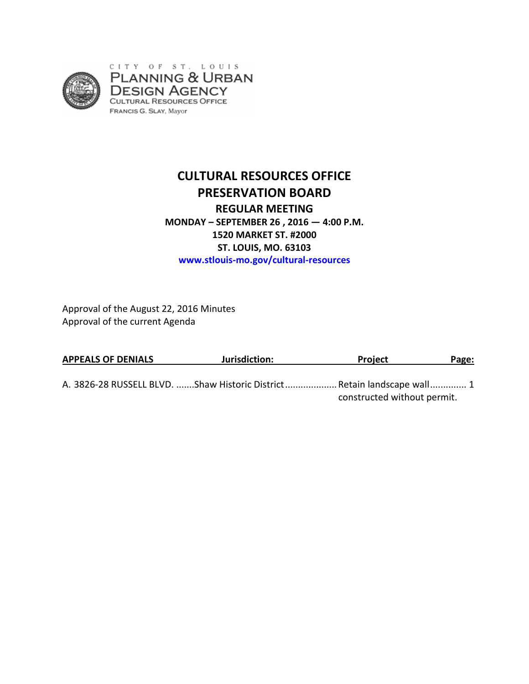

# **CULTURAL RESOURCES OFFICE PRESERVATION BOARD REGULAR MEETING MONDAY – SEPTEMBER 26 , 2016 — 4:00 P.M. 1520 MARKET ST. #2000 ST. LOUIS, MO. 63103 www.stlouis-mo.gov/cultural-resources**

Approval of the August 22, 2016 Minutes Approval of the current Agenda

| <b>APPEALS OF DENIALS</b> | Jurisdiction:                                                            | <b>Project</b>              | Page: |
|---------------------------|--------------------------------------------------------------------------|-----------------------------|-------|
|                           | A. 3826-28 RUSSELL BLVD. Shaw Historic District  Retain landscape wall 1 | constructed without permit. |       |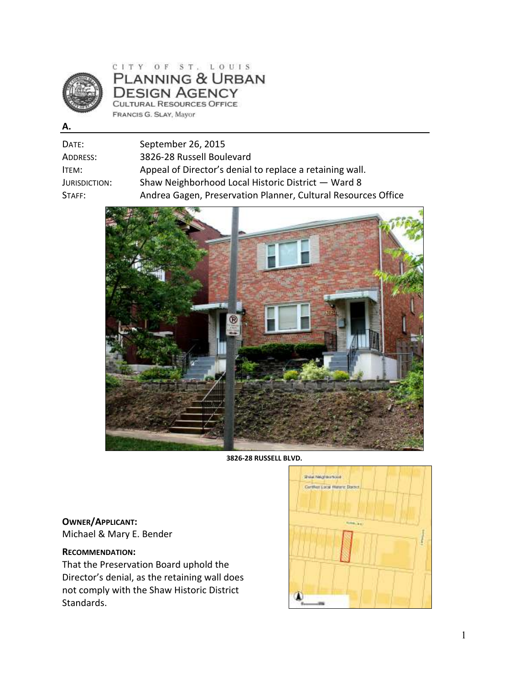

CITY OF ST. LOUIS PLANNING & URBAN **DESIGN AGENCY** CULTURAL RESOURCES OFFICE FRANCIS G. SLAY, Mayor

**A.** 

| DATE:             | September 26, 2015                                            |
|-------------------|---------------------------------------------------------------|
| Address:          | 3826-28 Russell Boulevard                                     |
| ltem:             | Appeal of Director's denial to replace a retaining wall.      |
| Jurisdiction:     | Shaw Neighborhood Local Historic District - Ward 8            |
| $\mathsf{STAFF:}$ | Andrea Gagen, Preservation Planner, Cultural Resources Office |
|                   |                                                               |



**3826-28 RUSSELL BLVD.** 

**OWNER/APPLICANT:**  Michael & Mary E. Bender

## **RECOMMENDATION:**

That the Preservation Board uphold the Director's denial, as the retaining wall does not comply with the Shaw Historic District Standards.

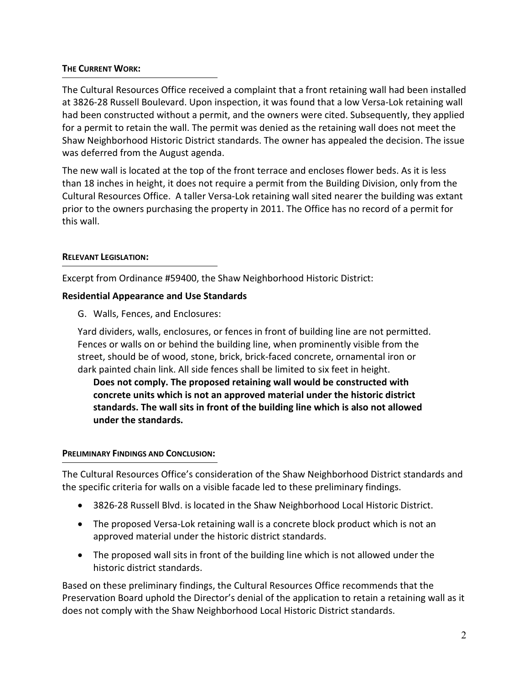## **THE CURRENT WORK:**

The Cultural Resources Office received a complaint that a front retaining wall had been installed at 3826-28 Russell Boulevard. Upon inspection, it was found that a low Versa-Lok retaining wall had been constructed without a permit, and the owners were cited. Subsequently, they applied for a permit to retain the wall. The permit was denied as the retaining wall does not meet the Shaw Neighborhood Historic District standards. The owner has appealed the decision. The issue was deferred from the August agenda.

The new wall is located at the top of the front terrace and encloses flower beds. As it is less than 18 inches in height, it does not require a permit from the Building Division, only from the Cultural Resources Office. A taller Versa-Lok retaining wall sited nearer the building was extant prior to the owners purchasing the property in 2011. The Office has no record of a permit for this wall.

## **RELEVANT LEGISLATION:**

Excerpt from Ordinance #59400, the Shaw Neighborhood Historic District:

## **Residential Appearance and Use Standards**

G. Walls, Fences, and Enclosures:

Yard dividers, walls, enclosures, or fences in front of building line are not permitted. Fences or walls on or behind the building line, when prominently visible from the street, should be of wood, stone, brick, brick-faced concrete, ornamental iron or dark painted chain link. All side fences shall be limited to six feet in height.

**Does not comply. The proposed retaining wall would be constructed with concrete units which is not an approved material under the historic district standards. The wall sits in front of the building line which is also not allowed under the standards.** 

## **PRELIMINARY FINDINGS AND CONCLUSION:**

The Cultural Resources Office's consideration of the Shaw Neighborhood District standards and the specific criteria for walls on a visible facade led to these preliminary findings.

- 3826-28 Russell Blvd. is located in the Shaw Neighborhood Local Historic District.
- The proposed Versa-Lok retaining wall is a concrete block product which is not an approved material under the historic district standards.
- The proposed wall sits in front of the building line which is not allowed under the historic district standards.

Based on these preliminary findings, the Cultural Resources Office recommends that the Preservation Board uphold the Director's denial of the application to retain a retaining wall as it does not comply with the Shaw Neighborhood Local Historic District standards.